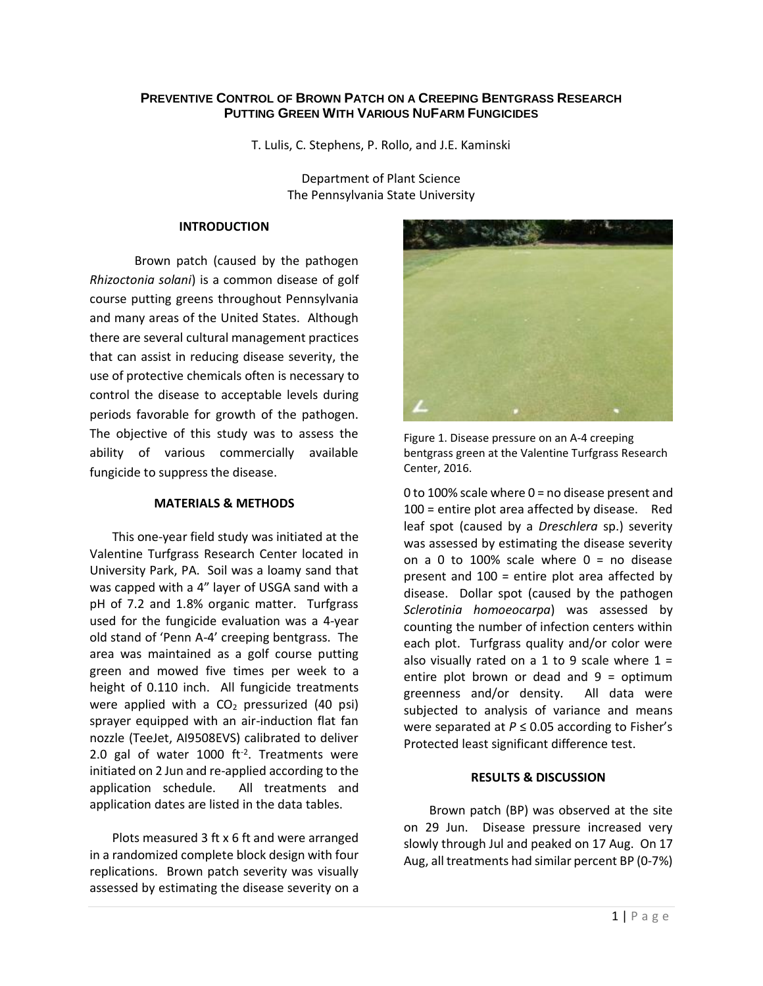# **PREVENTIVE CONTROL OF BROWN PATCH ON A CREEPING BENTGRASS RESEARCH PUTTING GREEN WITH VARIOUS NUFARM FUNGICIDES**

T. Lulis, C. Stephens, P. Rollo, and J.E. Kaminski

Department of Plant Science The Pennsylvania State University

## **INTRODUCTION**

Brown patch (caused by the pathogen *Rhizoctonia solani*) is a common disease of golf course putting greens throughout Pennsylvania and many areas of the United States. Although there are several cultural management practices that can assist in reducing disease severity, the use of protective chemicals often is necessary to control the disease to acceptable levels during periods favorable for growth of the pathogen. The objective of this study was to assess the ability of various commercially available fungicide to suppress the disease.

## **MATERIALS & METHODS**

This one-year field study was initiated at the Valentine Turfgrass Research Center located in University Park, PA. Soil was a loamy sand that was capped with a 4" layer of USGA sand with a pH of 7.2 and 1.8% organic matter. Turfgrass used for the fungicide evaluation was a 4-year old stand of 'Penn A-4' creeping bentgrass. The area was maintained as a golf course putting green and mowed five times per week to a height of 0.110 inch. All fungicide treatments were applied with a  $CO<sub>2</sub>$  pressurized (40 psi) sprayer equipped with an air-induction flat fan nozzle (TeeJet, AI9508EVS) calibrated to deliver 2.0 gal of water 1000 ft<sup>-2</sup>. Treatments were initiated on 2 Jun and re-applied according to the application schedule. All treatments and application dates are listed in the data tables.

Plots measured 3 ft x 6 ft and were arranged in a randomized complete block design with four replications. Brown patch severity was visually assessed by estimating the disease severity on a



Figure 1. Disease pressure on an A-4 creeping bentgrass green at the Valentine Turfgrass Research Center, 2016.

0 to 100% scale where 0 = no disease present and 100 = entire plot area affected by disease. Red leaf spot (caused by a *Dreschlera* sp.) severity was assessed by estimating the disease severity on a 0 to 100% scale where  $0 =$  no disease present and 100 = entire plot area affected by disease. Dollar spot (caused by the pathogen *Sclerotinia homoeocarpa*) was assessed by counting the number of infection centers within each plot. Turfgrass quality and/or color were also visually rated on a 1 to 9 scale where  $1 =$ entire plot brown or dead and  $9 =$  optimum greenness and/or density. All data were subjected to analysis of variance and means were separated at *P* ≤ 0.05 according to Fisher's Protected least significant difference test.

### **RESULTS & DISCUSSION**

Brown patch (BP) was observed at the site on 29 Jun. Disease pressure increased very slowly through Jul and peaked on 17 Aug. On 17 Aug, all treatments had similar percent BP (0-7%)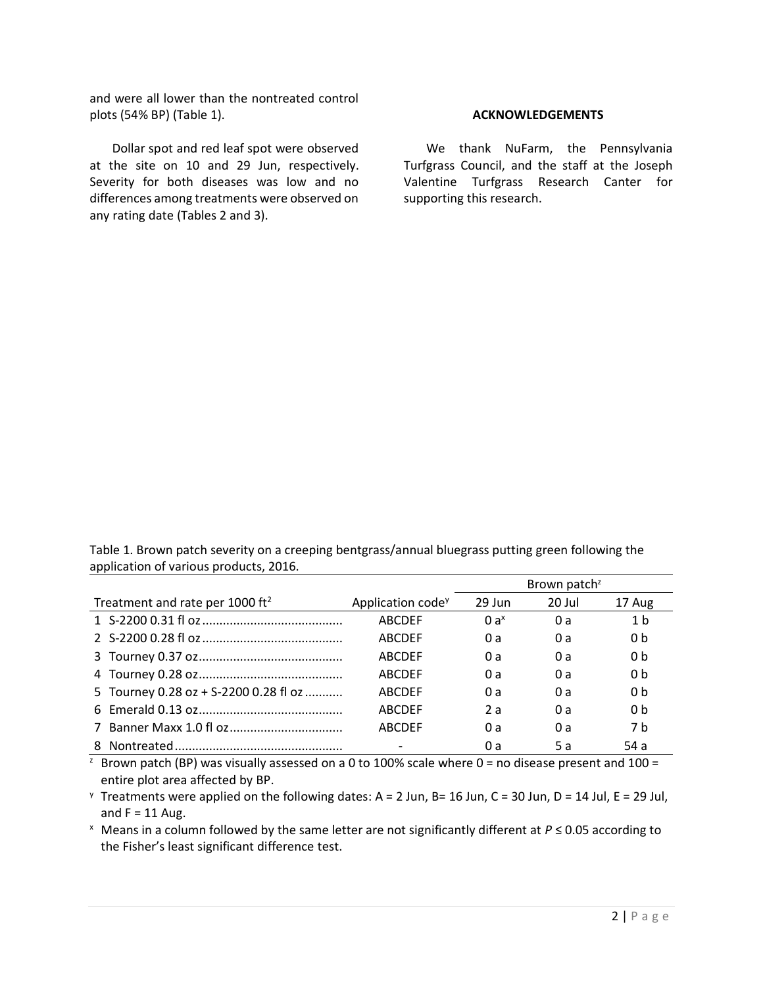and were all lower than the nontreated control plots (54% BP) (Table 1).

Dollar spot and red leaf spot were observed at the site on 10 and 29 Jun, respectively. Severity for both diseases was low and no differences among treatments were observed on any rating date (Tables 2 and 3).

### **ACKNOWLEDGEMENTS**

We thank NuFarm, the Pennsylvania Turfgrass Council, and the staff at the Joseph Valentine Turfgrass Research Canter for supporting this research.

Table 1. Brown patch severity on a creeping bentgrass/annual bluegrass putting green following the application of various products, 2016.

|                                             |                               | Brown patch <sup>z</sup> |        |                |  |
|---------------------------------------------|-------------------------------|--------------------------|--------|----------------|--|
| Treatment and rate per 1000 ft <sup>2</sup> | Application code <sup>y</sup> | 29 Jun                   | 20 Jul | 17 Aug         |  |
|                                             | <b>ABCDEF</b>                 | $0a^x$                   | 0 a    | 1 <sub>b</sub> |  |
|                                             | <b>ABCDEF</b>                 | 0 a                      | 0 a    | 0 <sub>b</sub> |  |
|                                             | <b>ABCDEF</b>                 | 0 a                      | 0a     | 0 <sub>b</sub> |  |
|                                             | <b>ABCDEF</b>                 | 0 a                      | 0 a    | 0 <sub>b</sub> |  |
| 5 Tourney 0.28 oz + S-2200 0.28 fl oz       | <b>ABCDEF</b>                 | 0 a                      | 0a     | 0 <sub>b</sub> |  |
|                                             | <b>ABCDEF</b>                 | 2a                       | 0a     | 0 <sub>b</sub> |  |
|                                             | <b>ABCDEF</b>                 | 0 a                      | 0a     | 7 h            |  |
|                                             |                               | 0 a                      | .5 a   | 54 a           |  |

<sup>z</sup> Brown patch (BP) was visually assessed on a 0 to 100% scale where 0 = no disease present and 100 = entire plot area affected by BP.

 $\gamma$  Treatments were applied on the following dates: A = 2 Jun, B= 16 Jun, C = 30 Jun, D = 14 Jul, E = 29 Jul, and  $F = 11$  Aug.

<sup>x</sup> Means in a column followed by the same letter are not significantly different at *P* ≤ 0.05 according to the Fisher's least significant difference test.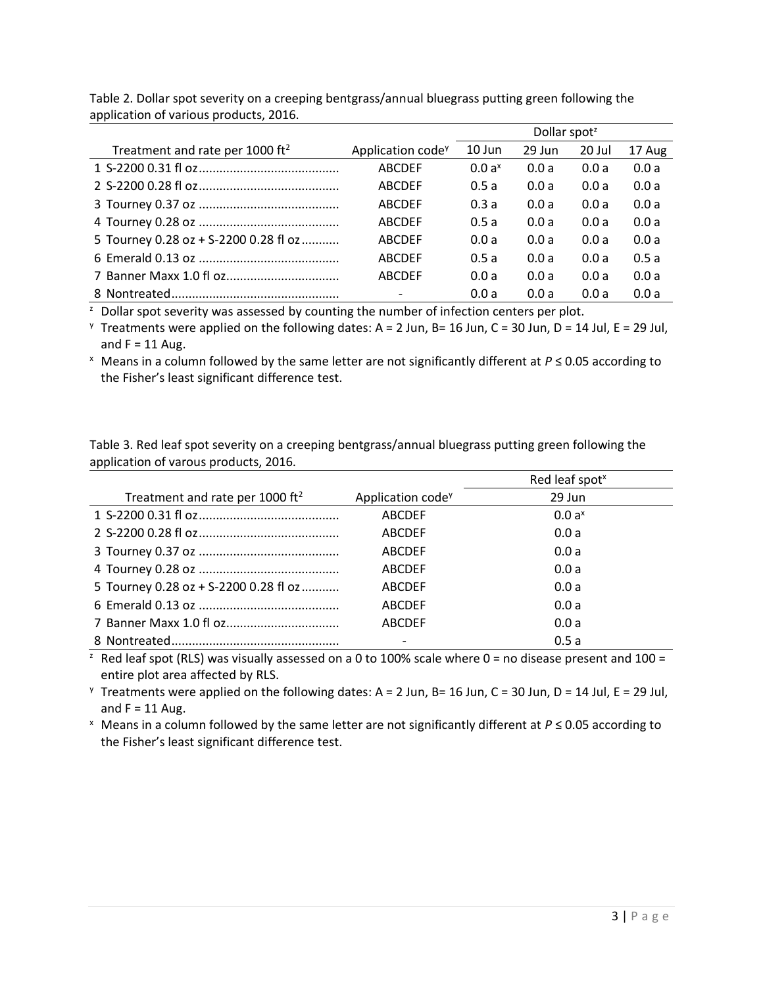|                                             |                               | Dollar spot <sup>z</sup> |        |        |        |
|---------------------------------------------|-------------------------------|--------------------------|--------|--------|--------|
| Treatment and rate per 1000 ft <sup>2</sup> | Application code <sup>y</sup> | $10$ Jun                 | 29 Jun | 20 Jul | 17 Aug |
|                                             | <b>ABCDEF</b>                 | $0.0a^x$                 | 0.0a   | 0.0a   | 0.0a   |
|                                             | <b>ABCDEF</b>                 | 0.5a                     | 0.0a   | 0.0a   | 0.0a   |
|                                             | <b>ABCDEF</b>                 | 0.3a                     | 0.0a   | 0.0a   | 0.0a   |
|                                             | <b>ABCDEF</b>                 | 0.5a                     | 0.0a   | 0.0a   | 0.0a   |
| 5 Tourney 0.28 oz + S-2200 0.28 fl oz       | <b>ABCDEF</b>                 | 0.0a                     | 0.0a   | 0.0a   | 0.0a   |
|                                             | <b>ABCDEF</b>                 | 0.5a                     | 0.0a   | 0.0a   | 0.5a   |
|                                             | <b>ABCDEF</b>                 | 0.0a                     | 0.0a   | 0.0a   | 0.0a   |
|                                             |                               | 0.0a                     | 0.0a   | 0.0a   | 0.0a   |

Table 2. Dollar spot severity on a creeping bentgrass/annual bluegrass putting green following the application of various products, 2016.

 $\overline{z}$  Dollar spot severity was assessed by counting the number of infection centers per plot.

<sup>y</sup> Treatments were applied on the following dates: A = 2 Jun, B= 16 Jun, C = 30 Jun, D = 14 Jul, E = 29 Jul, and  $F = 11$  Aug.

<sup>x</sup> Means in a column followed by the same letter are not significantly different at *P* ≤ 0.05 according to the Fisher's least significant difference test.

Table 3. Red leaf spot severity on a creeping bentgrass/annual bluegrass putting green following the application of varous products, 2016.

|                                             |                               | Red leaf spot <sup>x</sup> |
|---------------------------------------------|-------------------------------|----------------------------|
| Treatment and rate per 1000 ft <sup>2</sup> | Application code <sup>y</sup> | 29 Jun                     |
|                                             | <b>ABCDEF</b>                 | $0.0 a^{x}$                |
|                                             | <b>ABCDEF</b>                 | 0.0a                       |
|                                             | <b>ABCDEF</b>                 | 0.0a                       |
|                                             | <b>ABCDEF</b>                 | 0.0a                       |
| 5 Tourney 0.28 oz + S-2200 0.28 fl oz       | <b>ABCDEF</b>                 | 0.0a                       |
|                                             | <b>ABCDEF</b>                 | 0.0a                       |
|                                             | <b>ABCDEF</b>                 | 0.0a                       |
|                                             |                               | 0.5a                       |

<sup>2</sup> Red leaf spot (RLS) was visually assessed on a 0 to 100% scale where  $0 =$  no disease present and 100 = entire plot area affected by RLS.

 $y$  Treatments were applied on the following dates: A = 2 Jun, B= 16 Jun, C = 30 Jun, D = 14 Jul, E = 29 Jul, and  $F = 11$  Aug.

<sup>x</sup> Means in a column followed by the same letter are not significantly different at *P* ≤ 0.05 according to the Fisher's least significant difference test.